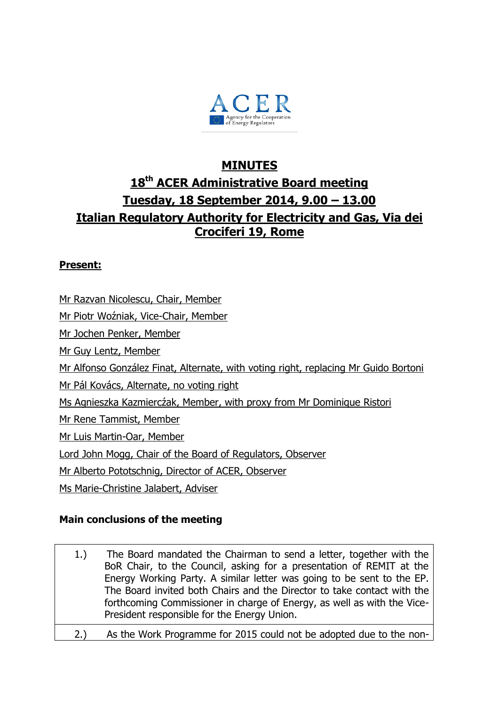

# **MINUTES 18th ACER Administrative Board meeting Tuesday, 18 September 2014, 9.00 – 13.00 Italian Regulatory Authority for Electricity and Gas, Via dei Crociferi 19, Rome**

### **Present:**

Mr Razvan Nicolescu, Chair, Member Mr Piotr Woźniak, Vice-Chair, Member Mr Jochen Penker, Member Mr Guy Lentz, Member Mr Alfonso González Finat, Alternate, with voting right, replacing Mr Guido Bortoni Mr Pál Kovács, Alternate, no voting right Ms Agnieszka Kazmiercźak, Member, with proxy from Mr Dominique Ristori Mr Rene Tammist, Member Mr Luis Martin-Oar, Member Lord John Mogg, Chair of the Board of Regulators, Observer Mr Alberto Pototschnig, Director of ACER, Observer Ms Marie-Christine Jalabert, Adviser

### **Main conclusions of the meeting**

- 1.) The Board mandated the Chairman to send a letter, together with the BoR Chair, to the Council, asking for a presentation of REMIT at the Energy Working Party. A similar letter was going to be sent to the EP. The Board invited both Chairs and the Director to take contact with the forthcoming Commissioner in charge of Energy, as well as with the Vice-President responsible for the Energy Union.
- 2.) As the Work Programme for 2015 could not be adopted due to the non-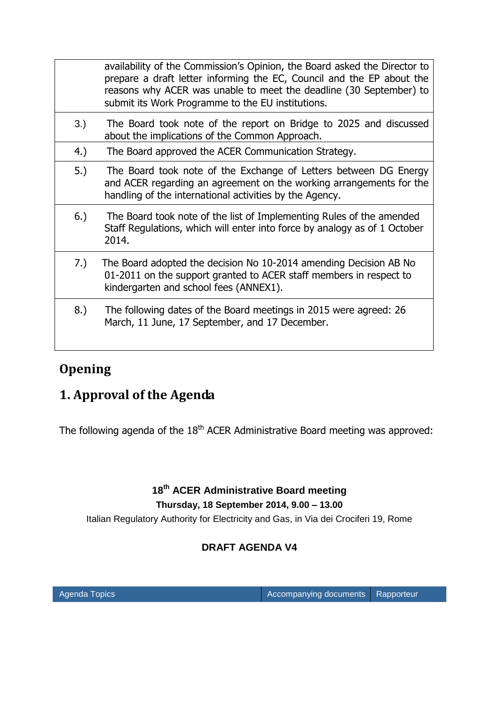|     | availability of the Commission's Opinion, the Board asked the Director to<br>prepare a draft letter informing the EC, Council and the EP about the<br>reasons why ACER was unable to meet the deadline (30 September) to<br>submit its Work Programme to the EU institutions. |
|-----|-------------------------------------------------------------------------------------------------------------------------------------------------------------------------------------------------------------------------------------------------------------------------------|
| 3.) | The Board took note of the report on Bridge to 2025 and discussed<br>about the implications of the Common Approach.                                                                                                                                                           |
| 4.) | The Board approved the ACER Communication Strategy.                                                                                                                                                                                                                           |
| 5.) | The Board took note of the Exchange of Letters between DG Energy<br>and ACER regarding an agreement on the working arrangements for the<br>handling of the international activities by the Agency.                                                                            |
| 6.) | The Board took note of the list of Implementing Rules of the amended<br>Staff Regulations, which will enter into force by analogy as of 1 October<br>2014.                                                                                                                    |
| 7.) | The Board adopted the decision No 10-2014 amending Decision AB No<br>01-2011 on the support granted to ACER staff members in respect to<br>kindergarten and school fees (ANNEX1).                                                                                             |
| 8.) | The following dates of the Board meetings in 2015 were agreed: 26<br>March, 11 June, 17 September, and 17 December.                                                                                                                                                           |

# **Opening**

# **1. Approval of the Agenda**

The following agenda of the  $18<sup>th</sup>$  ACER Administrative Board meeting was approved:

## **18 th ACER Administrative Board meeting Thursday, 18 September 2014, 9.00 – 13.00**

Italian Regulatory Authority for Electricity and Gas, in Via dei Crociferi 19, Rome

## **DRAFT AGENDA V4**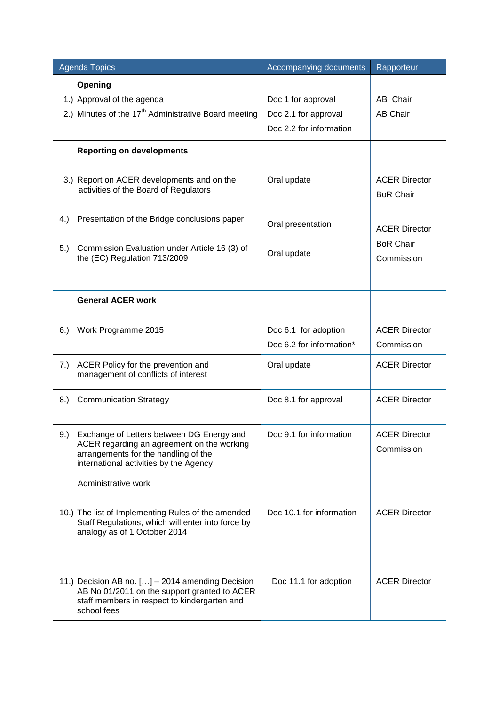| <b>Agenda Topics</b>                                                                                                                                                          | Accompanying documents                                                | Rapporteur                               |
|-------------------------------------------------------------------------------------------------------------------------------------------------------------------------------|-----------------------------------------------------------------------|------------------------------------------|
| Opening<br>1.) Approval of the agenda<br>2.) Minutes of the 17 <sup>th</sup> Administrative Board meeting                                                                     | Doc 1 for approval<br>Doc 2.1 for approval<br>Doc 2.2 for information | AB Chair<br><b>AB Chair</b>              |
| <b>Reporting on developments</b>                                                                                                                                              |                                                                       |                                          |
| 3.) Report on ACER developments and on the<br>activities of the Board of Regulators                                                                                           | Oral update                                                           | <b>ACER Director</b><br><b>BoR Chair</b> |
| 4.)<br>Presentation of the Bridge conclusions paper                                                                                                                           | Oral presentation                                                     | <b>ACER Director</b>                     |
| 5.)<br>Commission Evaluation under Article 16 (3) of<br>the (EC) Regulation 713/2009                                                                                          | Oral update                                                           | <b>BoR Chair</b><br>Commission           |
| <b>General ACER work</b>                                                                                                                                                      |                                                                       |                                          |
| Work Programme 2015<br>6.)                                                                                                                                                    | Doc 6.1 for adoption<br>Doc 6.2 for information*                      | <b>ACER Director</b><br>Commission       |
| 7.)<br>ACER Policy for the prevention and<br>management of conflicts of interest                                                                                              | Oral update                                                           | <b>ACER Director</b>                     |
| 8.)<br><b>Communication Strategy</b>                                                                                                                                          | Doc 8.1 for approval                                                  | <b>ACER Director</b>                     |
| 9.) Exchange of Letters between DG Energy and<br>ACER regarding an agreement on the working<br>arrangements for the handling of the<br>international activities by the Agency | Doc 9.1 for information                                               | <b>ACER Director</b><br>Commission       |
| Administrative work                                                                                                                                                           |                                                                       |                                          |
| 10.) The list of Implementing Rules of the amended<br>Staff Regulations, which will enter into force by<br>analogy as of 1 October 2014                                       | Doc 10.1 for information                                              | <b>ACER Director</b>                     |
| 11.) Decision AB no. [] - 2014 amending Decision<br>AB No 01/2011 on the support granted to ACER<br>staff members in respect to kindergarten and<br>school fees               | Doc 11.1 for adoption                                                 | <b>ACER Director</b>                     |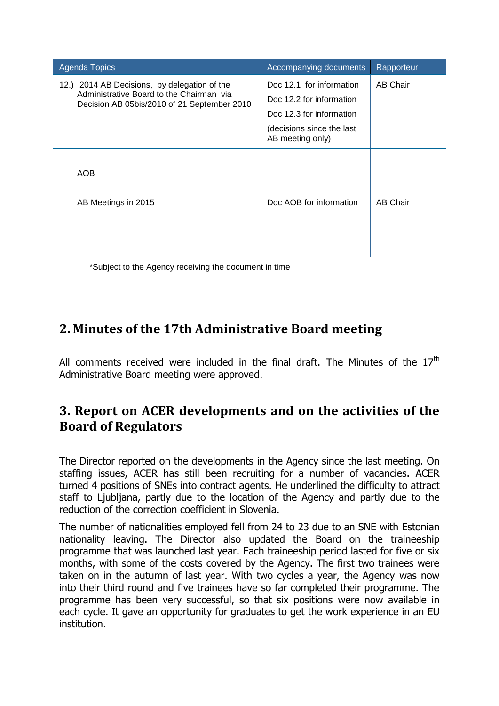| <b>Agenda Topics</b>                                                                    | Accompanying documents                        | Rapporteur      |
|-----------------------------------------------------------------------------------------|-----------------------------------------------|-----------------|
| 12.) 2014 AB Decisions, by delegation of the                                            | Doc 12.1 for information                      | <b>AB Chair</b> |
| Administrative Board to the Chairman via<br>Decision AB 05bis/2010 of 21 September 2010 | Doc 12.2 for information                      |                 |
|                                                                                         | Doc 12.3 for information                      |                 |
|                                                                                         | (decisions since the last<br>AB meeting only) |                 |
| AOB<br>AB Meetings in 2015                                                              | Doc AOB for information                       | <b>AB Chair</b> |

\*Subject to the Agency receiving the document in time

# **2. Minutes of the 17th Administrative Board meeting**

All comments received were included in the final draft. The Minutes of the  $17<sup>th</sup>$ Administrative Board meeting were approved.

# **3. Report on ACER developments and on the activities of the Board of Regulators**

The Director reported on the developments in the Agency since the last meeting. On staffing issues, ACER has still been recruiting for a number of vacancies. ACER turned 4 positions of SNEs into contract agents. He underlined the difficulty to attract staff to Ljubljana, partly due to the location of the Agency and partly due to the reduction of the correction coefficient in Slovenia.

The number of nationalities employed fell from 24 to 23 due to an SNE with Estonian nationality leaving. The Director also updated the Board on the traineeship programme that was launched last year. Each traineeship period lasted for five or six months, with some of the costs covered by the Agency. The first two trainees were taken on in the autumn of last year. With two cycles a year, the Agency was now into their third round and five trainees have so far completed their programme. The programme has been very successful, so that six positions were now available in each cycle. It gave an opportunity for graduates to get the work experience in an EU institution.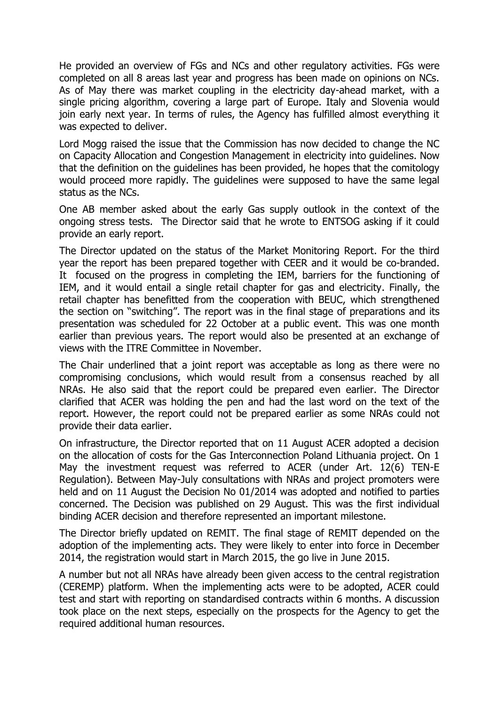He provided an overview of FGs and NCs and other regulatory activities. FGs were completed on all 8 areas last year and progress has been made on opinions on NCs. As of May there was market coupling in the electricity day-ahead market, with a single pricing algorithm, covering a large part of Europe. Italy and Slovenia would join early next year. In terms of rules, the Agency has fulfilled almost everything it was expected to deliver.

Lord Mogg raised the issue that the Commission has now decided to change the NC on Capacity Allocation and Congestion Management in electricity into guidelines. Now that the definition on the guidelines has been provided, he hopes that the comitology would proceed more rapidly. The guidelines were supposed to have the same legal status as the NCs.

One AB member asked about the early Gas supply outlook in the context of the ongoing stress tests. The Director said that he wrote to ENTSOG asking if it could provide an early report.

The Director updated on the status of the Market Monitoring Report. For the third year the report has been prepared together with CEER and it would be co-branded. It focused on the progress in completing the IEM, barriers for the functioning of IEM, and it would entail a single retail chapter for gas and electricity. Finally, the retail chapter has benefitted from the cooperation with BEUC, which strengthened the section on "switching". The report was in the final stage of preparations and its presentation was scheduled for 22 October at a public event. This was one month earlier than previous years. The report would also be presented at an exchange of views with the ITRE Committee in November.

The Chair underlined that a joint report was acceptable as long as there were no compromising conclusions, which would result from a consensus reached by all NRAs. He also said that the report could be prepared even earlier. The Director clarified that ACER was holding the pen and had the last word on the text of the report. However, the report could not be prepared earlier as some NRAs could not provide their data earlier.

On infrastructure, the Director reported that on 11 August ACER adopted a decision on the allocation of costs for the Gas Interconnection Poland Lithuania project. On 1 May the investment request was referred to ACER (under Art. 12(6) TEN-E Regulation). Between May-July consultations with NRAs and project promoters were held and on 11 August the Decision No 01/2014 was adopted and notified to parties concerned. The Decision was published on 29 August. This was the first individual binding ACER decision and therefore represented an important milestone.

The Director briefly updated on REMIT. The final stage of REMIT depended on the adoption of the implementing acts. They were likely to enter into force in December 2014, the registration would start in March 2015, the go live in June 2015.

A number but not all NRAs have already been given access to the central registration (CEREMP) platform. When the implementing acts were to be adopted, ACER could test and start with reporting on standardised contracts within 6 months. A discussion took place on the next steps, especially on the prospects for the Agency to get the required additional human resources.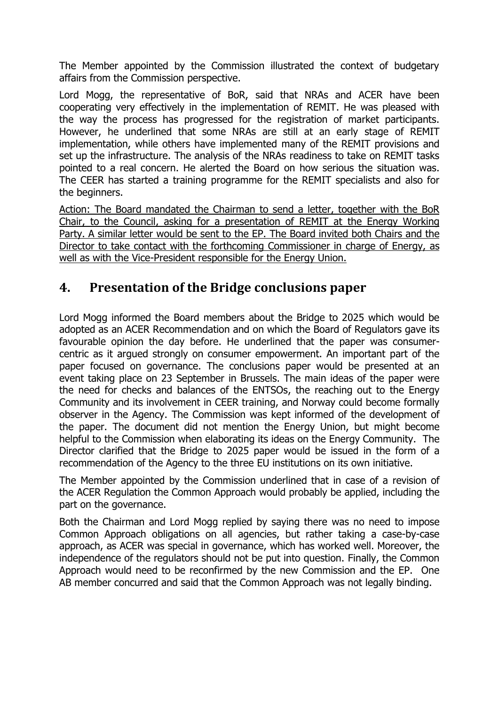The Member appointed by the Commission illustrated the context of budgetary affairs from the Commission perspective.

Lord Mogg, the representative of BoR, said that NRAs and ACER have been cooperating very effectively in the implementation of REMIT. He was pleased with the way the process has progressed for the registration of market participants. However, he underlined that some NRAs are still at an early stage of REMIT implementation, while others have implemented many of the REMIT provisions and set up the infrastructure. The analysis of the NRAs readiness to take on REMIT tasks pointed to a real concern. He alerted the Board on how serious the situation was. The CEER has started a training programme for the REMIT specialists and also for the beginners.

Action: The Board mandated the Chairman to send a letter, together with the BoR Chair, to the Council, asking for a presentation of REMIT at the Energy Working Party. A similar letter would be sent to the EP. The Board invited both Chairs and the Director to take contact with the forthcoming Commissioner in charge of Energy, as well as with the Vice-President responsible for the Energy Union.

## **4. Presentation of the Bridge conclusions paper**

Lord Mogg informed the Board members about the Bridge to 2025 which would be adopted as an ACER Recommendation and on which the Board of Regulators gave its favourable opinion the day before. He underlined that the paper was consumercentric as it argued strongly on consumer empowerment. An important part of the paper focused on governance. The conclusions paper would be presented at an event taking place on 23 September in Brussels. The main ideas of the paper were the need for checks and balances of the ENTSOs, the reaching out to the Energy Community and its involvement in CEER training, and Norway could become formally observer in the Agency. The Commission was kept informed of the development of the paper. The document did not mention the Energy Union, but might become helpful to the Commission when elaborating its ideas on the Energy Community. The Director clarified that the Bridge to 2025 paper would be issued in the form of a recommendation of the Agency to the three EU institutions on its own initiative.

The Member appointed by the Commission underlined that in case of a revision of the ACER Regulation the Common Approach would probably be applied, including the part on the governance.

Both the Chairman and Lord Mogg replied by saying there was no need to impose Common Approach obligations on all agencies, but rather taking a case-by-case approach, as ACER was special in governance, which has worked well. Moreover, the independence of the regulators should not be put into question. Finally, the Common Approach would need to be reconfirmed by the new Commission and the EP. One AB member concurred and said that the Common Approach was not legally binding.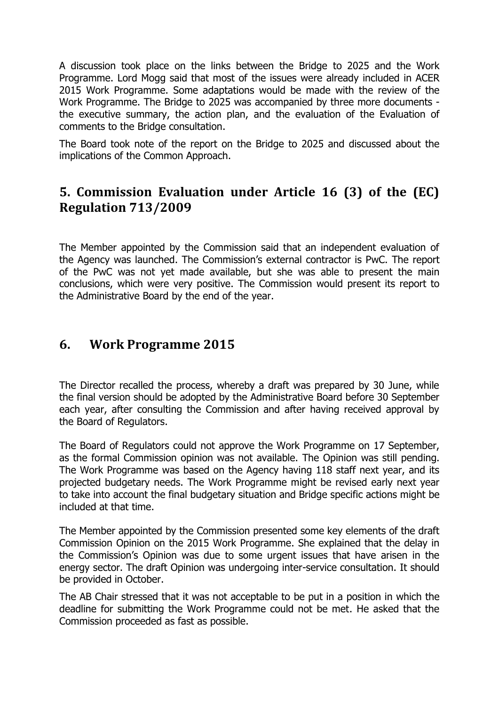A discussion took place on the links between the Bridge to 2025 and the Work Programme. Lord Mogg said that most of the issues were already included in ACER 2015 Work Programme. Some adaptations would be made with the review of the Work Programme. The Bridge to 2025 was accompanied by three more documents the executive summary, the action plan, and the evaluation of the Evaluation of comments to the Bridge consultation.

The Board took note of the report on the Bridge to 2025 and discussed about the implications of the Common Approach.

# **5. Commission Evaluation under Article 16 (3) of the (EC) Regulation 713/2009**

The Member appointed by the Commission said that an independent evaluation of the Agency was launched. The Commission's external contractor is PwC. The report of the PwC was not yet made available, but she was able to present the main conclusions, which were very positive. The Commission would present its report to the Administrative Board by the end of the year.

## **6. Work Programme 2015**

The Director recalled the process, whereby a draft was prepared by 30 June, while the final version should be adopted by the Administrative Board before 30 September each year, after consulting the Commission and after having received approval by the Board of Regulators.

The Board of Regulators could not approve the Work Programme on 17 September, as the formal Commission opinion was not available. The Opinion was still pending. The Work Programme was based on the Agency having 118 staff next year, and its projected budgetary needs. The Work Programme might be revised early next year to take into account the final budgetary situation and Bridge specific actions might be included at that time.

The Member appointed by the Commission presented some key elements of the draft Commission Opinion on the 2015 Work Programme. She explained that the delay in the Commission's Opinion was due to some urgent issues that have arisen in the energy sector. The draft Opinion was undergoing inter-service consultation. It should be provided in October.

The AB Chair stressed that it was not acceptable to be put in a position in which the deadline for submitting the Work Programme could not be met. He asked that the Commission proceeded as fast as possible.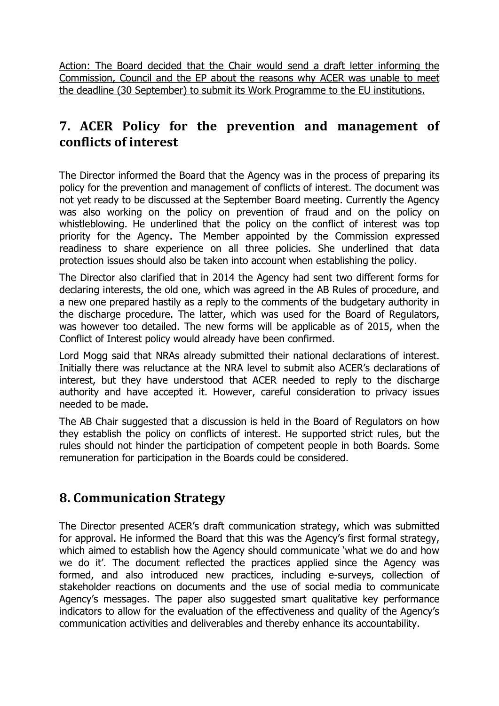Action: The Board decided that the Chair would send a draft letter informing the Commission, Council and the EP about the reasons why ACER was unable to meet the deadline (30 September) to submit its Work Programme to the EU institutions.

## **7. ACER Policy for the prevention and management of conflicts of interest**

The Director informed the Board that the Agency was in the process of preparing its policy for the prevention and management of conflicts of interest. The document was not yet ready to be discussed at the September Board meeting. Currently the Agency was also working on the policy on prevention of fraud and on the policy on whistleblowing. He underlined that the policy on the conflict of interest was top priority for the Agency. The Member appointed by the Commission expressed readiness to share experience on all three policies. She underlined that data protection issues should also be taken into account when establishing the policy.

The Director also clarified that in 2014 the Agency had sent two different forms for declaring interests, the old one, which was agreed in the AB Rules of procedure, and a new one prepared hastily as a reply to the comments of the budgetary authority in the discharge procedure. The latter, which was used for the Board of Regulators, was however too detailed. The new forms will be applicable as of 2015, when the Conflict of Interest policy would already have been confirmed.

Lord Mogg said that NRAs already submitted their national declarations of interest. Initially there was reluctance at the NRA level to submit also ACER's declarations of interest, but they have understood that ACER needed to reply to the discharge authority and have accepted it. However, careful consideration to privacy issues needed to be made.

The AB Chair suggested that a discussion is held in the Board of Regulators on how they establish the policy on conflicts of interest. He supported strict rules, but the rules should not hinder the participation of competent people in both Boards. Some remuneration for participation in the Boards could be considered.

## **8. Communication Strategy**

The Director presented ACER's draft communication strategy, which was submitted for approval. He informed the Board that this was the Agency's first formal strategy, which aimed to establish how the Agency should communicate 'what we do and how we do it'. The document reflected the practices applied since the Agency was formed, and also introduced new practices, including e-surveys, collection of stakeholder reactions on documents and the use of social media to communicate Agency's messages. The paper also suggested smart qualitative key performance indicators to allow for the evaluation of the effectiveness and quality of the Agency's communication activities and deliverables and thereby enhance its accountability.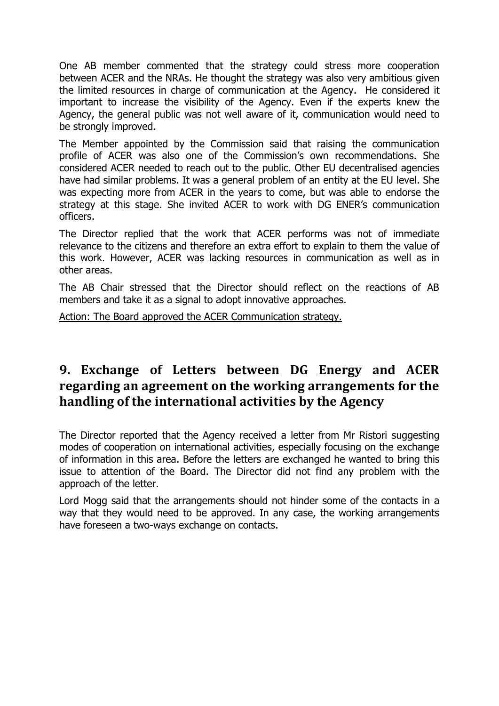One AB member commented that the strategy could stress more cooperation between ACER and the NRAs. He thought the strategy was also very ambitious given the limited resources in charge of communication at the Agency. He considered it important to increase the visibility of the Agency. Even if the experts knew the Agency, the general public was not well aware of it, communication would need to be strongly improved.

The Member appointed by the Commission said that raising the communication profile of ACER was also one of the Commission's own recommendations. She considered ACER needed to reach out to the public. Other EU decentralised agencies have had similar problems. It was a general problem of an entity at the EU level. She was expecting more from ACER in the years to come, but was able to endorse the strategy at this stage. She invited ACER to work with DG ENER's communication officers.

The Director replied that the work that ACER performs was not of immediate relevance to the citizens and therefore an extra effort to explain to them the value of this work. However, ACER was lacking resources in communication as well as in other areas.

The AB Chair stressed that the Director should reflect on the reactions of AB members and take it as a signal to adopt innovative approaches.

Action: The Board approved the ACER Communication strategy.

## **9. Exchange of Letters between DG Energy and ACER regarding an agreement on the working arrangements for the handling of the international activities by the Agency**

The Director reported that the Agency received a letter from Mr Ristori suggesting modes of cooperation on international activities, especially focusing on the exchange of information in this area. Before the letters are exchanged he wanted to bring this issue to attention of the Board. The Director did not find any problem with the approach of the letter.

Lord Mogg said that the arrangements should not hinder some of the contacts in a way that they would need to be approved. In any case, the working arrangements have foreseen a two-ways exchange on contacts.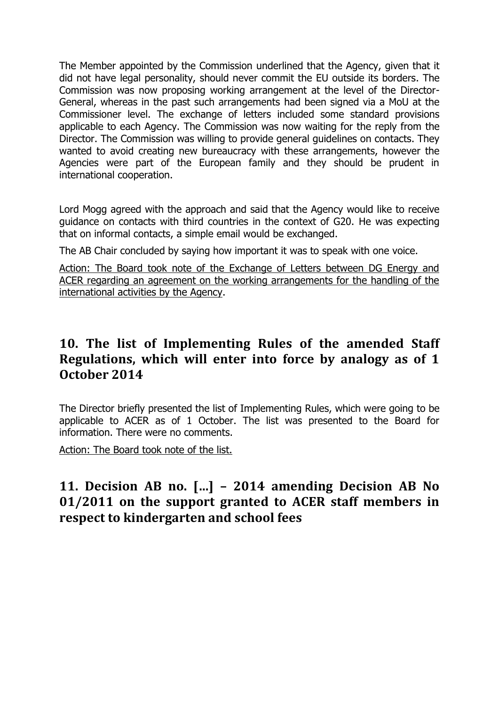The Member appointed by the Commission underlined that the Agency, given that it did not have legal personality, should never commit the EU outside its borders. The Commission was now proposing working arrangement at the level of the Director-General, whereas in the past such arrangements had been signed via a MoU at the Commissioner level. The exchange of letters included some standard provisions applicable to each Agency. The Commission was now waiting for the reply from the Director. The Commission was willing to provide general guidelines on contacts. They wanted to avoid creating new bureaucracy with these arrangements, however the Agencies were part of the European family and they should be prudent in international cooperation.

Lord Mogg agreed with the approach and said that the Agency would like to receive guidance on contacts with third countries in the context of G20. He was expecting that on informal contacts, a simple email would be exchanged.

The AB Chair concluded by saying how important it was to speak with one voice.

Action: The Board took note of the Exchange of Letters between DG Energy and ACER regarding an agreement on the working arrangements for the handling of the international activities by the Agency.

## **10. The list of Implementing Rules of the amended Staff Regulations, which will enter into force by analogy as of 1 October 2014**

The Director briefly presented the list of Implementing Rules, which were going to be applicable to ACER as of 1 October. The list was presented to the Board for information. There were no comments.

Action: The Board took note of the list.

# **11. Decision AB no. […] – 2014 amending Decision AB No 01/2011 on the support granted to ACER staff members in respect to kindergarten and school fees**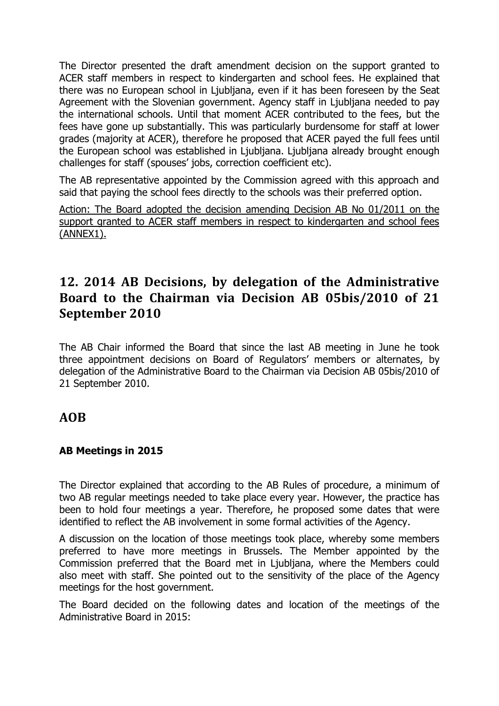The Director presented the draft amendment decision on the support granted to ACER staff members in respect to kindergarten and school fees. He explained that there was no European school in Ljubljana, even if it has been foreseen by the Seat Agreement with the Slovenian government. Agency staff in Ljubljana needed to pay the international schools. Until that moment ACER contributed to the fees, but the fees have gone up substantially. This was particularly burdensome for staff at lower grades (majority at ACER), therefore he proposed that ACER payed the full fees until the European school was established in Ljubljana. Ljubljana already brought enough challenges for staff (spouses' jobs, correction coefficient etc).

The AB representative appointed by the Commission agreed with this approach and said that paying the school fees directly to the schools was their preferred option.

Action: The Board adopted the decision amending Decision AB No 01/2011 on the support granted to ACER staff members in respect to kindergarten and school fees (ANNEX1).

# **12. 2014 AB Decisions, by delegation of the Administrative Board to the Chairman via Decision AB 05bis/2010 of 21 September 2010**

The AB Chair informed the Board that since the last AB meeting in June he took three appointment decisions on Board of Regulators' members or alternates, by delegation of the Administrative Board to the Chairman via Decision AB 05bis/2010 of 21 September 2010.

## **AOB**

### **AB Meetings in 2015**

The Director explained that according to the AB Rules of procedure, a minimum of two AB regular meetings needed to take place every year. However, the practice has been to hold four meetings a year. Therefore, he proposed some dates that were identified to reflect the AB involvement in some formal activities of the Agency.

A discussion on the location of those meetings took place, whereby some members preferred to have more meetings in Brussels. The Member appointed by the Commission preferred that the Board met in Ljubljana, where the Members could also meet with staff. She pointed out to the sensitivity of the place of the Agency meetings for the host government.

The Board decided on the following dates and location of the meetings of the Administrative Board in 2015: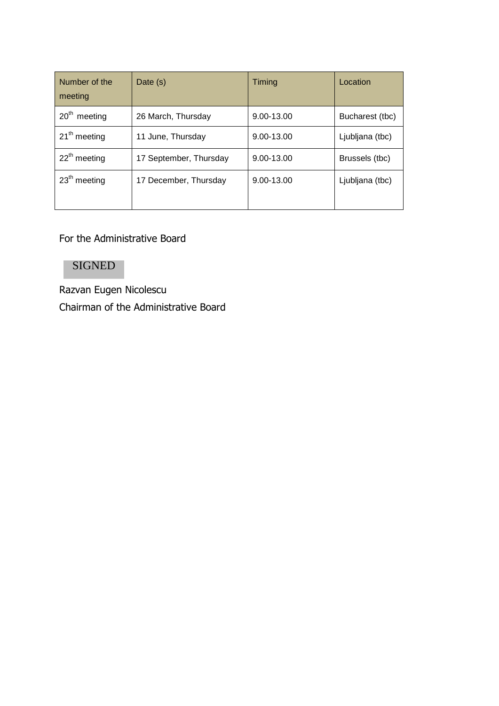| Number of the<br>meeting    | Date (s)               | Timing     | Location        |
|-----------------------------|------------------------|------------|-----------------|
| 20 <sup>th</sup><br>meeting | 26 March, Thursday     | 9.00-13.00 | Bucharest (tbc) |
| $21th$ meeting              | 11 June, Thursday      | 9.00-13.00 | Ljubljana (tbc) |
| $22th$ meeting              | 17 September, Thursday | 9.00-13.00 | Brussels (tbc)  |
| $23th$ meeting              | 17 December, Thursday  | 9.00-13.00 | Ljubljana (tbc) |

Fоr the Administrative Board

## SIGNED

Razvan Eugen Nicolescu Chairman of the Administrative Board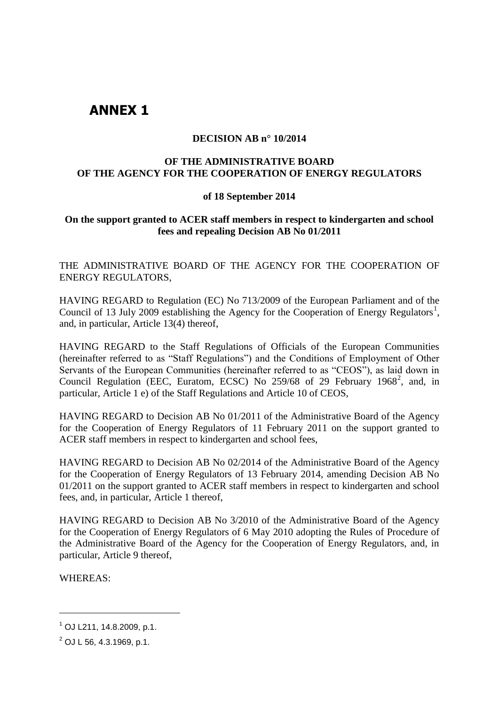## **ANNEX 1**

#### **DECISION AB n° 10/2014**

#### **OF THE ADMINISTRATIVE BOARD OF THE AGENCY FOR THE COOPERATION OF ENERGY REGULATORS**

#### **of 18 September 2014**

### **On the support granted to ACER staff members in respect to kindergarten and school fees and repealing Decision AB No 01/2011**

THE ADMINISTRATIVE BOARD OF THE AGENCY FOR THE COOPERATION OF ENERGY REGULATORS,

HAVING REGARD to Regulation (EC) No 713/2009 of the European Parliament and of the Council of 13 July 2009 establishing the Agency for the Cooperation of Energy Regulators<sup>1</sup>, and, in particular, Article 13(4) thereof,

HAVING REGARD to the Staff Regulations of Officials of the European Communities (hereinafter referred to as "Staff Regulations") and the Conditions of Employment of Other Servants of the European Communities (hereinafter referred to as "CEOS"), as laid down in Council Regulation (EEC, Euratom, ECSC) No 259/68 of 29 February 1968<sup>2</sup>, and, in particular, Article 1 e) of the Staff Regulations and Article 10 of CEOS,

HAVING REGARD to Decision AB No 01/2011 of the Administrative Board of the Agency for the Cooperation of Energy Regulators of 11 February 2011 on the support granted to ACER staff members in respect to kindergarten and school fees,

HAVING REGARD to Decision AB No 02/2014 of the Administrative Board of the Agency for the Cooperation of Energy Regulators of 13 February 2014, amending Decision AB No 01/2011 on the support granted to ACER staff members in respect to kindergarten and school fees, and, in particular, Article 1 thereof,

HAVING REGARD to Decision AB No 3/2010 of the Administrative Board of the Agency for the Cooperation of Energy Regulators of 6 May 2010 adopting the Rules of Procedure of the Administrative Board of the Agency for the Cooperation of Energy Regulators, and, in particular, Article 9 thereof,

WHEREAS:

-

 $^{1}$  OJ L211, 14.8.2009, p.1.

<sup>2</sup> OJ L 56, 4.3.1969, p.1.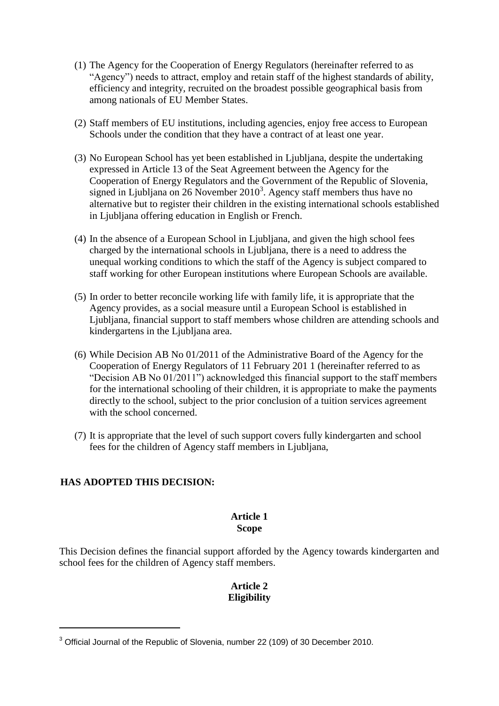- (1) The Agency for the Cooperation of Energy Regulators (hereinafter referred to as "Agency") needs to attract, employ and retain staff of the highest standards of ability, efficiency and integrity, recruited on the broadest possible geographical basis from among nationals of EU Member States.
- (2) Staff members of EU institutions, including agencies, enjoy free access to European Schools under the condition that they have a contract of at least one year.
- (3) No European School has yet been established in Ljubljana, despite the undertaking expressed in Article 13 of the Seat Agreement between the Agency for the Cooperation of Energy Regulators and the Government of the Republic of Slovenia, signed in Ljubljana on 26 November  $2010<sup>3</sup>$ . Agency staff members thus have no alternative but to register their children in the existing international schools established in Ljubljana offering education in English or French.
- (4) In the absence of a European School in Ljubljana, and given the high school fees charged by the international schools in Ljubljana, there is a need to address the unequal working conditions to which the staff of the Agency is subject compared to staff working for other European institutions where European Schools are available.
- (5) In order to better reconcile working life with family life, it is appropriate that the Agency provides, as a social measure until a European School is established in Ljubljana, financial support to staff members whose children are attending schools and kindergartens in the Ljubljana area.
- (6) While Decision AB No 01/2011 of the Administrative Board of the Agency for the Cooperation of Energy Regulators of 11 February 201 1 (hereinafter referred to as "Decision AB No 01/2011") acknowledged this financial support to the staff members for the international schooling of their children, it is appropriate to make the payments directly to the school, subject to the prior conclusion of a tuition services agreement with the school concerned.
- (7) It is appropriate that the level of such support covers fully kindergarten and school fees for the children of Agency staff members in Ljubljana,

### **HAS ADOPTED THIS DECISION:**

1

### **Article 1**

### **Scope**

This Decision defines the financial support afforded by the Agency towards kindergarten and school fees for the children of Agency staff members.

### **Article 2 Eligibility**

<sup>&</sup>lt;sup>3</sup> Official Journal of the Republic of Slovenia, number 22 (109) of 30 December 2010.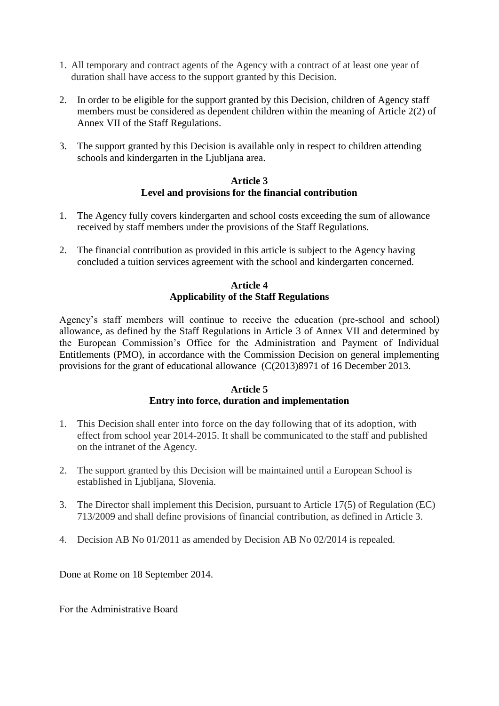- 1. All temporary and contract agents of the Agency with a contract of at least one year of duration shall have access to the support granted by this Decision.
- 2. In order to be eligible for the support granted by this Decision, children of Agency staff members must be considered as dependent children within the meaning of Article 2(2) of Annex VII of the Staff Regulations.
- 3. The support granted by this Decision is available only in respect to children attending schools and kindergarten in the Ljubljana area.

#### **Article 3 Level and provisions for the financial contribution**

- 1. The Agency fully covers kindergarten and school costs exceeding the sum of allowance received by staff members under the provisions of the Staff Regulations.
- 2. The financial contribution as provided in this article is subject to the Agency having concluded a tuition services agreement with the school and kindergarten concerned.

### **Article 4 Applicability of the Staff Regulations**

Agency's staff members will continue to receive the education (pre-school and school) allowance, as defined by the Staff Regulations in Article 3 of Annex VII and determined by the European Commission's Office for the Administration and Payment of Individual Entitlements (PMO), in accordance with the Commission Decision on general implementing provisions for the grant of educational allowance (C(2013)8971 of 16 December 2013.

#### **Article 5 Entry into force, duration and implementation**

- 1. This Decision shall enter into force on the day following that of its adoption, with effect from school year 2014-2015. It shall be communicated to the staff and published on the intranet of the Agency.
- 2. The support granted by this Decision will be maintained until a European School is established in Ljubljana, Slovenia.
- 3. The Director shall implement this Decision, pursuant to Article 17(5) of Regulation (EC) 713/2009 and shall define provisions of financial contribution, as defined in Article 3.
- 4. Decision AB No 01/2011 as amended by Decision AB No 02/2014 is repealed.

Done at Rome on 18 September 2014.

Fоr the Administrative Board